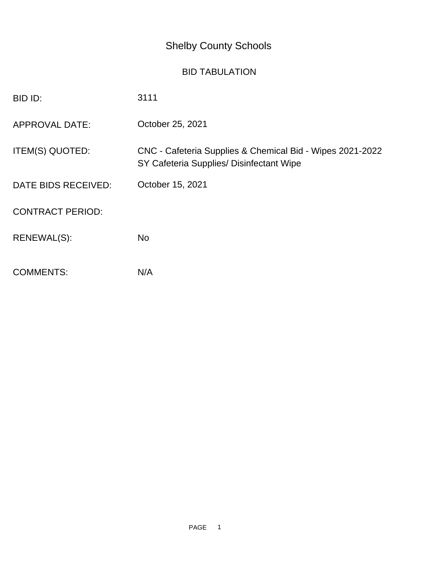## Shelby County Schools

## BID TABULATION

| BID ID:                 | 3111                                                                                                  |
|-------------------------|-------------------------------------------------------------------------------------------------------|
| <b>APPROVAL DATE:</b>   | October 25, 2021                                                                                      |
| ITEM(S) QUOTED:         | CNC - Cafeteria Supplies & Chemical Bid - Wipes 2021-2022<br>SY Cafeteria Supplies/ Disinfectant Wipe |
| DATE BIDS RECEIVED:     | October 15, 2021                                                                                      |
| <b>CONTRACT PERIOD:</b> |                                                                                                       |
| RENEWAL(S):             | <b>No</b>                                                                                             |
| <b>COMMENTS:</b>        | N/A                                                                                                   |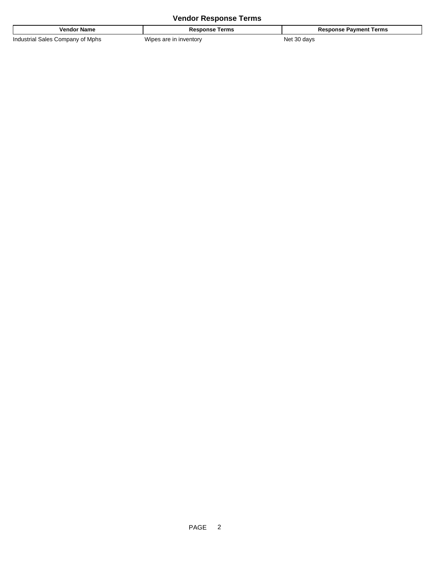## **Vendor Response Terms**

| ∶name<br>enoo                                                    | . .<br>erms<br>. .                             | erms<br>ment |
|------------------------------------------------------------------|------------------------------------------------|--------------|
| 'ndus<br>Mphs<br>500 <sub>0</sub><br>nmn:<br>nnu.<br><br>$\cdot$ | $\ddot{\phantom{1}}$<br>Wine<br>ntor<br>$\sim$ | lav.<br>NE   |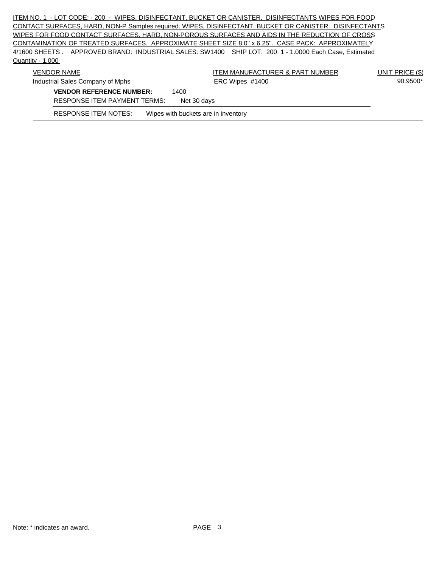ITEM NO. 1 - LOT CODE: - 200 - WIPES, DISINFECTANT, BUCKET OR CANISTER. DISINFECTANTS WIPES FOR FOOD CONTACT SURFACES, HARD, NON-P Samples required. WIPES, DISINFECTANT, BUCKET OR CANISTER. DISINFECTANTS WIPES FOR FOOD CONTACT SURFACES, HARD, NON-POROUS SURFACES AND AIDS IN THE REDUCTION OF CROSS CONTAMINATION OF TREATED SURFACES. APPROXIMATE SHEET SIZE 8.0'' x 6.25''. CASE PACK: APPROXIMATELY 4/1600 SHEETS . APPROVED BRAND: INDUSTRIAL SALES: SW1400 SHIP LOT: 200 1 - 1.0000 Each Case, Estimated Quantity - 1,000

| <b>VENDOR NAME</b>                                          | ITEM MANUFACTURER & PART NUMBER | UNIT PRICE (\$) |
|-------------------------------------------------------------|---------------------------------|-----------------|
| Industrial Sales Company of Mphs                            | ERC Wipes #1400                 | 90.9500*        |
| <b>VENDOR REFERENCE NUMBER:</b><br>1400                     |                                 |                 |
| <b>RESPONSE ITEM PAYMENT TERMS:</b><br>Net 30 days          |                                 |                 |
| Wipes with buckets are in inventory<br>RESPONSE ITEM NOTES: |                                 |                 |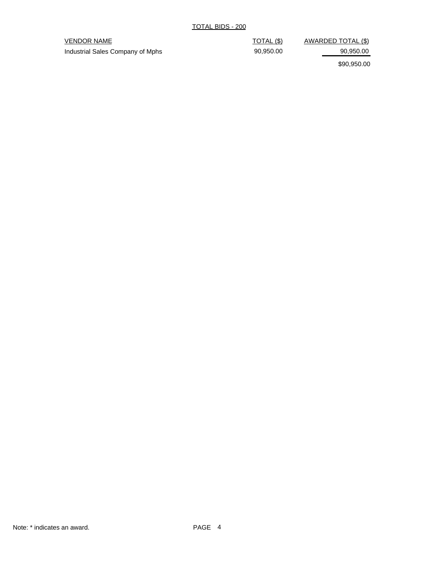## VENDOR NAME VENDOR NAME

Industrial Sales Company of Mphs 90,950.00 90,950.00 90,950.00

\$90,950.00